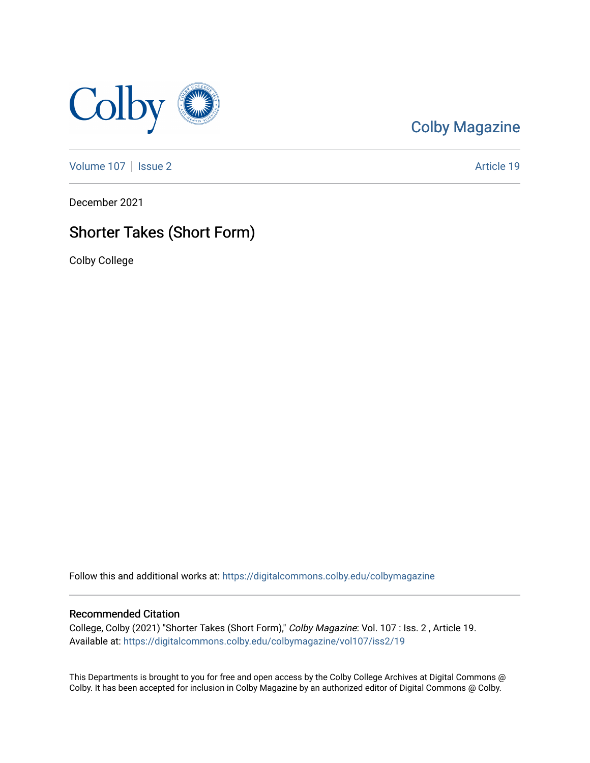

## [Colby Magazine](https://digitalcommons.colby.edu/colbymagazine)

[Volume 107](https://digitalcommons.colby.edu/colbymagazine/vol107) | [Issue 2](https://digitalcommons.colby.edu/colbymagazine/vol107/iss2) Article 19

December 2021

### Shorter Takes (Short Form)

Colby College

Follow this and additional works at: [https://digitalcommons.colby.edu/colbymagazine](https://digitalcommons.colby.edu/colbymagazine?utm_source=digitalcommons.colby.edu%2Fcolbymagazine%2Fvol107%2Fiss2%2F19&utm_medium=PDF&utm_campaign=PDFCoverPages)

### Recommended Citation

College, Colby (2021) "Shorter Takes (Short Form)," Colby Magazine: Vol. 107 : Iss. 2 , Article 19. Available at: [https://digitalcommons.colby.edu/colbymagazine/vol107/iss2/19](https://digitalcommons.colby.edu/colbymagazine/vol107/iss2/19?utm_source=digitalcommons.colby.edu%2Fcolbymagazine%2Fvol107%2Fiss2%2F19&utm_medium=PDF&utm_campaign=PDFCoverPages)

This Departments is brought to you for free and open access by the Colby College Archives at Digital Commons @ Colby. It has been accepted for inclusion in Colby Magazine by an authorized editor of Digital Commons @ Colby.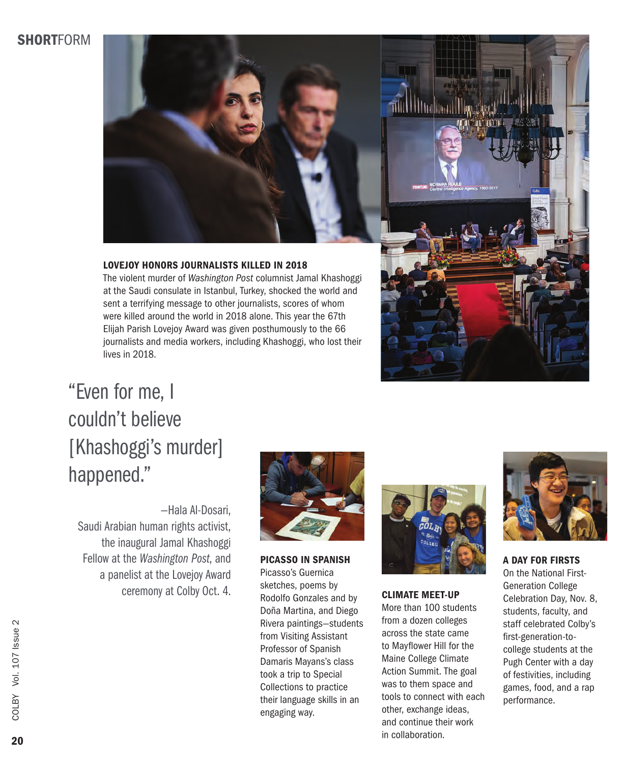### **SHORTFORM**



### LOVEJOY HONORS JOURNALISTS KILLED IN 2018

The violent murder of *Washington Post* columnist Jamal Khashoggi at the Saudi consulate in Istanbul, Turkey, shocked the world and sent a terrifying message to other journalists, scores of whom were killed around the world in 2018 alone. This year the 67th Elijah Parish Lovejoy Award was given posthumously to the 66 journalists and media workers, including Khashoggi, who lost their lives in 2018.



## "Even for me, I couldn't believe [Khashoggi's murder] happened."

—Hala Al-Dosari, Saudi Arabian human rights activist, the inaugural Jamal Khashoggi Fellow at the *Washington Post*, and a panelist at the Lovejoy Award ceremony at Colby Oct. 4.



PICASSO IN SPANISH Picasso's Guernica sketches, poems by Rodolfo Gonzales and by Doña Martina, and Diego Rivera paintings—students from Visiting Assistant Professor of Spanish Damaris Mayans's class took a trip to Special Collections to practice their language skills in an engaging way.



### CLIMATE MEET-UP

More than 100 students from a dozen colleges across the state came to Mayflower Hill for the Maine College Climate Action Summit. The goal was to them space and tools to connect with each other, exchange ideas, and continue their work in collaboration.



A DAY FOR FIRSTS On the National First-Generation College Celebration Day, Nov. 8, students, faculty, and staff celebrated Colby's first-generation-tocollege students at the Pugh Center with a day of festivities, including games, food, and a rap performance.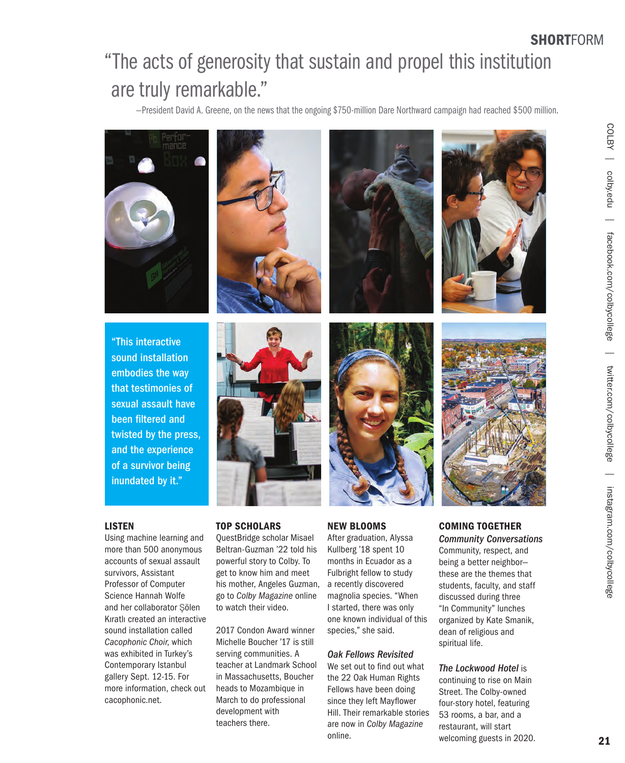# "The acts of generosity that sustain and propel this institution are truly remarkable."

—President David A. Greene, on the news that the ongoing \$750-million Dare Northward campaign had reached \$500 million.



### LISTEN

Using machine learning and more than 500 anonymous accounts of sexual assault survivors, Assistant Professor of Computer Science Hannah Wolfe and her collaborator Şölen Kıratlı created an interactive sound installation called *Cacophonic Choir*, which was exhibited in Turkey's Contemporary Istanbul gallery Sept. 12-15. For more information, check out cacophonic.net.

QuestBridge scholar Misael Beltran-Guzman '22 told his powerful story to Colby. To get to know him and meet his mother, Angeles Guzman, go to *Colby Magazine* online to watch their video.

2017 Condon Award winner Michelle Boucher '17 is still serving communities. A teacher at Landmark School in Massachusetts, Boucher heads to Mozambique in March to do professional development with teachers there.

After graduation, Alyssa Kullberg '18 spent 10 months in Ecuador as a Fulbright fellow to study a recently discovered magnolia species. "When I started, there was only one known individual of this species," she said.

#### *Oak Fellows Revisited*

We set out to find out what the 22 Oak Human Rights Fellows have been doing since they left Mayflower Hill. Their remarkable stories are now in *Colby Magazine* online.

*Community Conversations* Community, respect, and being a better neighbor these are the themes that students, faculty, and staff discussed during three "In Community" lunches organized by Kate Smanik, dean of religious and spiritual life.

### *The Lockwood Hotel* is

continuing to rise on Main Street. The Colby-owned four-story hotel, featuring 53 rooms, a bar, and a restaurant, will start welcoming guests in 2020.

**SHORTFORM**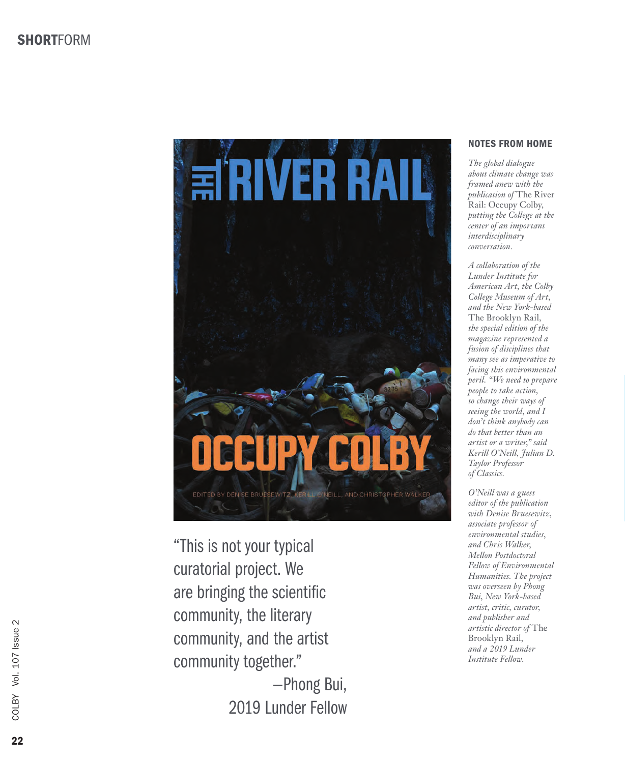

"This is not your typical curatorial project. We are bringing the scientific community, the literary community, and the artist community together." —Phong Bui,

2019 Lunder Fellow

### NOTES FROM HOME

*The global dialogue about climate change was framed anew with the publication of* The River Rail: Occupy Colby*, putting the College at the center of an important interdisciplinary conversation.* 

*A collaboration of the Lunder Institute for American Art, the Colby College Museum of Art, and the New York-based*  The Brooklyn Rail*, the special edition of the magazine represented a fusion of disciplines that many see as imperative to facing this environmental peril. "We need to prepare people to take action, to change their ways of seeing the world, and I don't think anybody can do that better than an artist or a writer," said Kerill O'Neill, Julian D. Taylor Professor of Classics.* 

*O'Neill was a guest editor of the publication with Denise Bruesewitz, associate professor of environmental studies, and Chris Walker, Mellon Postdoctoral Fellow of Environmental Humanities. The project was overseen by Phong Bui, New York-based artist, critic, curator, and publisher and artistic director of* The Brooklyn Rail*, and a 2019 Lunder Institute Fellow.*